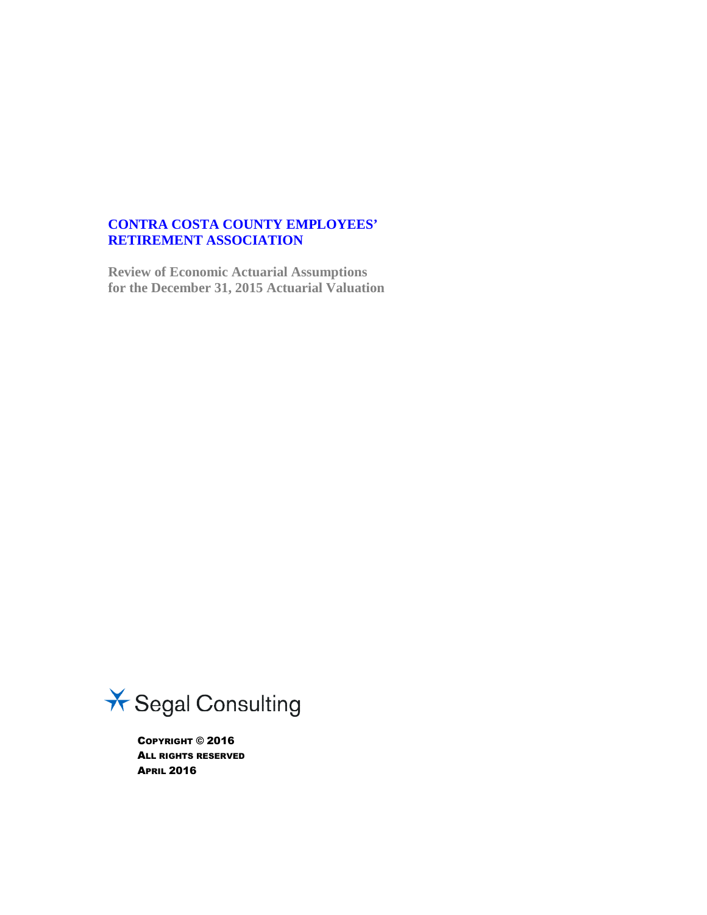## **CONTRA COSTA COUNTY EMPLOYEES' RETIREMENT ASSOCIATION**

**Review of Economic Actuarial Assumptions for the December 31, 2015 Actuarial Valuation**



COPYRIGHT © 2016 ALL RIGHTS RESERVED APRIL 2016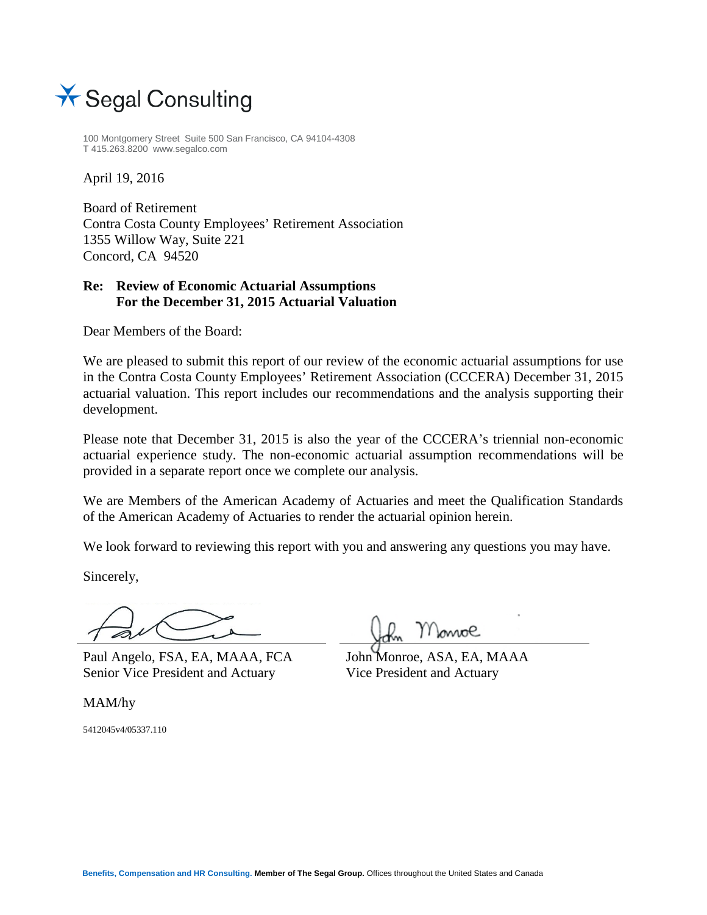

100 Montgomery Street Suite 500 San Francisco, CA 94104-4308 T 415.263.8200 www.segalco.com

April 19, 2016

Board of Retirement Contra Costa County Employees' Retirement Association 1355 Willow Way, Suite 221 Concord, CA 94520

## **Re: Review of Economic Actuarial Assumptions For the December 31, 2015 Actuarial Valuation**

Dear Members of the Board:

We are pleased to submit this report of our review of the economic actuarial assumptions for use in the Contra Costa County Employees' Retirement Association (CCCERA) December 31, 2015 actuarial valuation. This report includes our recommendations and the analysis supporting their development.

Please note that December 31, 2015 is also the year of the CCCERA's triennial non-economic actuarial experience study. The non-economic actuarial assumption recommendations will be provided in a separate report once we complete our analysis.

We are Members of the American Academy of Actuaries and meet the Qualification Standards of the American Academy of Actuaries to render the actuarial opinion herein.

We look forward to reviewing this report with you and answering any questions you may have.

Sincerely,

Paul Angelo, FSA, EA, MAAA, FCA Senior Vice President and Actuary

MAM/hy

5412045v4/05337.110

moe

John Monroe, ASA, EA, MAAA Vice President and Actuary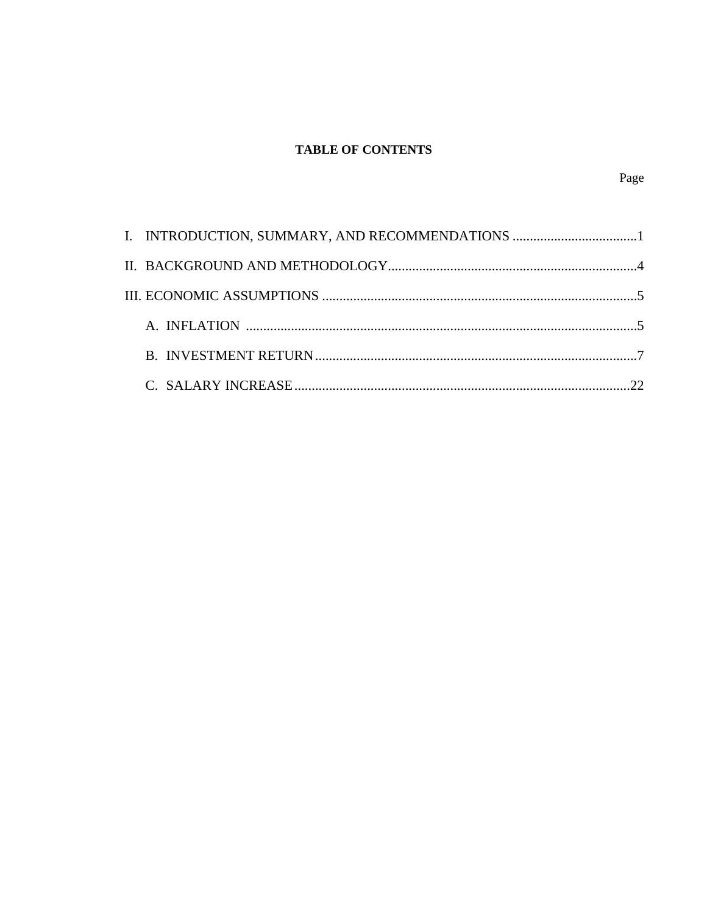# **TABLE OF CONTENTS**

|  | I. INTRODUCTION, SUMMARY, AND RECOMMENDATIONS 1 |  |
|--|-------------------------------------------------|--|
|  |                                                 |  |
|  |                                                 |  |
|  |                                                 |  |
|  |                                                 |  |
|  |                                                 |  |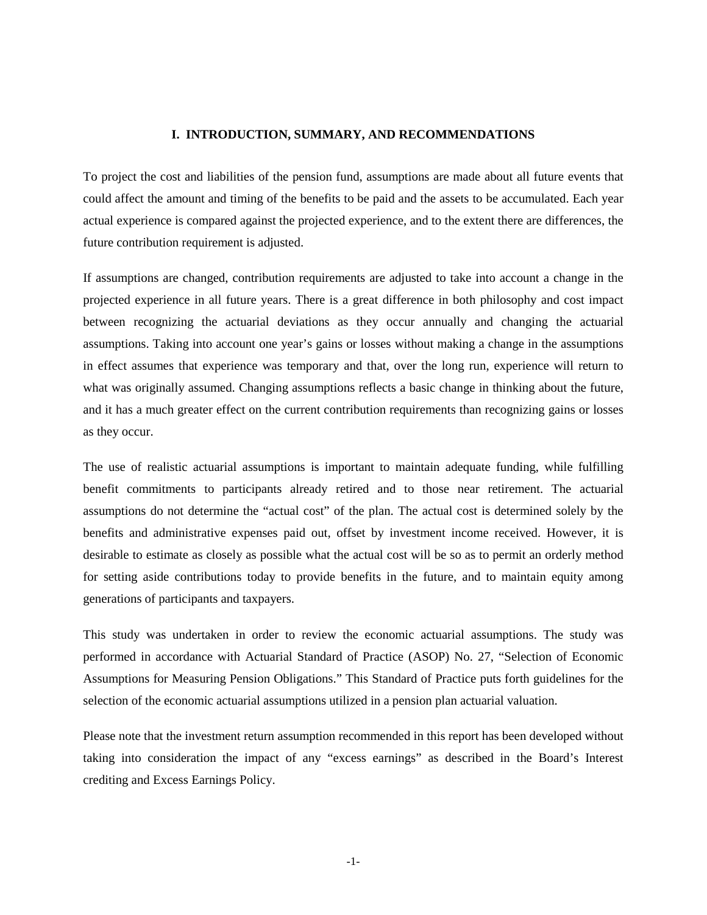#### **I. INTRODUCTION, SUMMARY, AND RECOMMENDATIONS**

To project the cost and liabilities of the pension fund, assumptions are made about all future events that could affect the amount and timing of the benefits to be paid and the assets to be accumulated. Each year actual experience is compared against the projected experience, and to the extent there are differences, the future contribution requirement is adjusted.

If assumptions are changed, contribution requirements are adjusted to take into account a change in the projected experience in all future years. There is a great difference in both philosophy and cost impact between recognizing the actuarial deviations as they occur annually and changing the actuarial assumptions. Taking into account one year's gains or losses without making a change in the assumptions in effect assumes that experience was temporary and that, over the long run, experience will return to what was originally assumed. Changing assumptions reflects a basic change in thinking about the future, and it has a much greater effect on the current contribution requirements than recognizing gains or losses as they occur.

The use of realistic actuarial assumptions is important to maintain adequate funding, while fulfilling benefit commitments to participants already retired and to those near retirement. The actuarial assumptions do not determine the "actual cost" of the plan. The actual cost is determined solely by the benefits and administrative expenses paid out, offset by investment income received. However, it is desirable to estimate as closely as possible what the actual cost will be so as to permit an orderly method for setting aside contributions today to provide benefits in the future, and to maintain equity among generations of participants and taxpayers.

This study was undertaken in order to review the economic actuarial assumptions. The study was performed in accordance with Actuarial Standard of Practice (ASOP) No. 27, "Selection of Economic Assumptions for Measuring Pension Obligations." This Standard of Practice puts forth guidelines for the selection of the economic actuarial assumptions utilized in a pension plan actuarial valuation.

Please note that the investment return assumption recommended in this report has been developed without taking into consideration the impact of any "excess earnings" as described in the Board's Interest crediting and Excess Earnings Policy.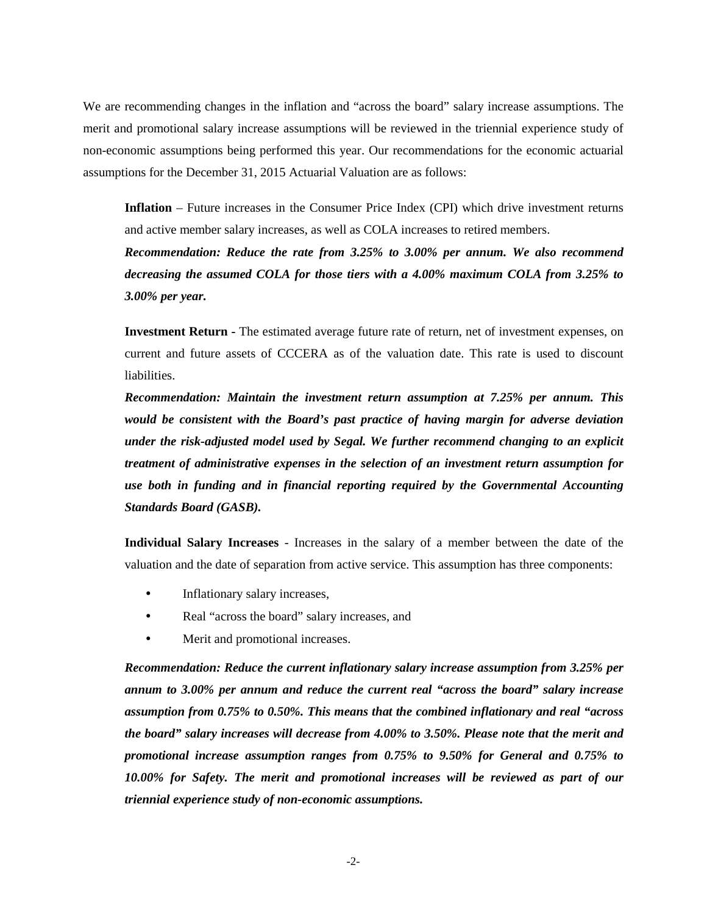We are recommending changes in the inflation and "across the board" salary increase assumptions. The merit and promotional salary increase assumptions will be reviewed in the triennial experience study of non-economic assumptions being performed this year. Our recommendations for the economic actuarial assumptions for the December 31, 2015 Actuarial Valuation are as follows:

**Inflation** – Future increases in the Consumer Price Index (CPI) which drive investment returns and active member salary increases, as well as COLA increases to retired members.

*Recommendation: Reduce the rate from 3.25% to 3.00% per annum. We also recommend decreasing the assumed COLA for those tiers with a 4.00% maximum COLA from 3.25% to 3.00% per year.*

**Investment Return -** The estimated average future rate of return, net of investment expenses, on current and future assets of CCCERA as of the valuation date. This rate is used to discount liabilities.

*Recommendation: Maintain the investment return assumption at 7.25% per annum. This would be consistent with the Board's past practice of having margin for adverse deviation under the risk-adjusted model used by Segal. We further recommend changing to an explicit treatment of administrative expenses in the selection of an investment return assumption for use both in funding and in financial reporting required by the Governmental Accounting Standards Board (GASB).*

**Individual Salary Increases** - Increases in the salary of a member between the date of the valuation and the date of separation from active service. This assumption has three components:

- Inflationary salary increases,
- Real "across the board" salary increases, and
- Merit and promotional increases.

*Recommendation: Reduce the current inflationary salary increase assumption from 3.25% per annum to 3.00% per annum and reduce the current real "across the board" salary increase assumption from 0.75% to 0.50%. This means that the combined inflationary and real "across the board" salary increases will decrease from 4.00% to 3.50%. Please note that the merit and promotional increase assumption ranges from 0.75% to 9.50% for General and 0.75% to 10.00% for Safety. The merit and promotional increases will be reviewed as part of our triennial experience study of non-economic assumptions.*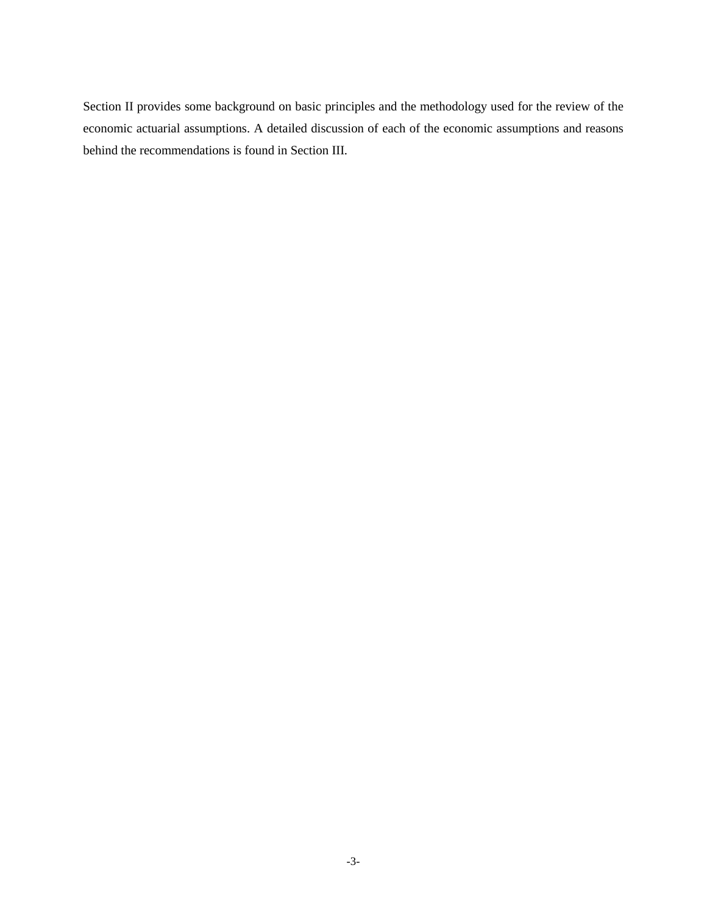Section II provides some background on basic principles and the methodology used for the review of the economic actuarial assumptions. A detailed discussion of each of the economic assumptions and reasons behind the recommendations is found in Section III.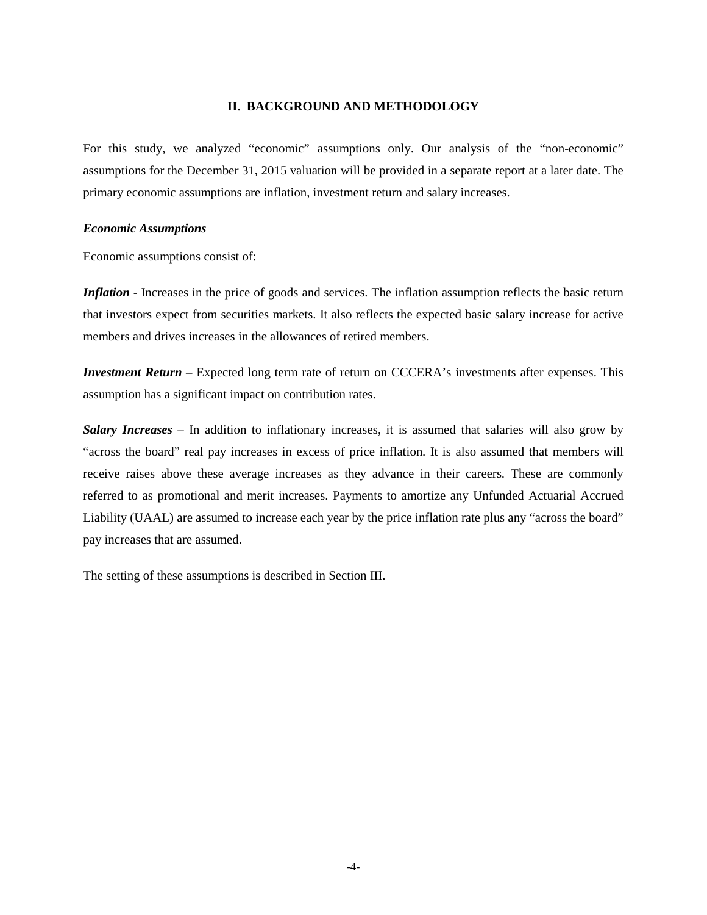#### **II. BACKGROUND AND METHODOLOGY**

For this study, we analyzed "economic" assumptions only. Our analysis of the "non-economic" assumptions for the December 31, 2015 valuation will be provided in a separate report at a later date. The primary economic assumptions are inflation, investment return and salary increases.

#### *Economic Assumptions*

Economic assumptions consist of:

*Inflation* - Increases in the price of goods and services. The inflation assumption reflects the basic return that investors expect from securities markets. It also reflects the expected basic salary increase for active members and drives increases in the allowances of retired members.

*Investment Return* – Expected long term rate of return on CCCERA's investments after expenses. This assumption has a significant impact on contribution rates.

*Salary Increases* – In addition to inflationary increases, it is assumed that salaries will also grow by "across the board" real pay increases in excess of price inflation. It is also assumed that members will receive raises above these average increases as they advance in their careers. These are commonly referred to as promotional and merit increases. Payments to amortize any Unfunded Actuarial Accrued Liability (UAAL) are assumed to increase each year by the price inflation rate plus any "across the board" pay increases that are assumed.

The setting of these assumptions is described in Section III.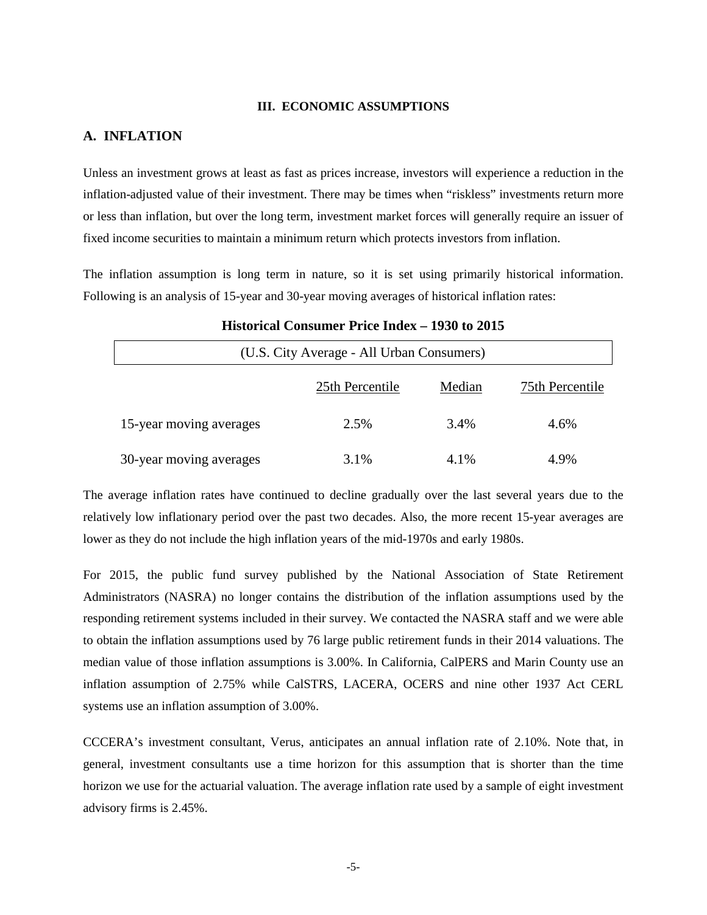#### **III. ECONOMIC ASSUMPTIONS**

## **A. INFLATION**

Unless an investment grows at least as fast as prices increase, investors will experience a reduction in the inflation-adjusted value of their investment. There may be times when "riskless" investments return more or less than inflation, but over the long term, investment market forces will generally require an issuer of fixed income securities to maintain a minimum return which protects investors from inflation.

The inflation assumption is long term in nature, so it is set using primarily historical information. Following is an analysis of 15-year and 30-year moving averages of historical inflation rates:

| (U.S. City Average - All Urban Consumers) |                 |        |                 |  |  |
|-------------------------------------------|-----------------|--------|-----------------|--|--|
|                                           | 25th Percentile | Median | 75th Percentile |  |  |
| 15-year moving averages                   | 2.5%            | 3.4%   | 4.6%            |  |  |
| 30-year moving averages                   | 3.1%            | 4.1%   | 4.9%            |  |  |

## **Historical Consumer Price Index – 1930 to 2015**

The average inflation rates have continued to decline gradually over the last several years due to the relatively low inflationary period over the past two decades. Also, the more recent 15-year averages are lower as they do not include the high inflation years of the mid-1970s and early 1980s.

For 2015, the public fund survey published by the National Association of State Retirement Administrators (NASRA) no longer contains the distribution of the inflation assumptions used by the responding retirement systems included in their survey. We contacted the NASRA staff and we were able to obtain the inflation assumptions used by 76 large public retirement funds in their 2014 valuations. The median value of those inflation assumptions is 3.00%. In California, CalPERS and Marin County use an inflation assumption of 2.75% while CalSTRS, LACERA, OCERS and nine other 1937 Act CERL systems use an inflation assumption of 3.00%.

CCCERA's investment consultant, Verus, anticipates an annual inflation rate of 2.10%. Note that, in general, investment consultants use a time horizon for this assumption that is shorter than the time horizon we use for the actuarial valuation. The average inflation rate used by a sample of eight investment advisory firms is 2.45%.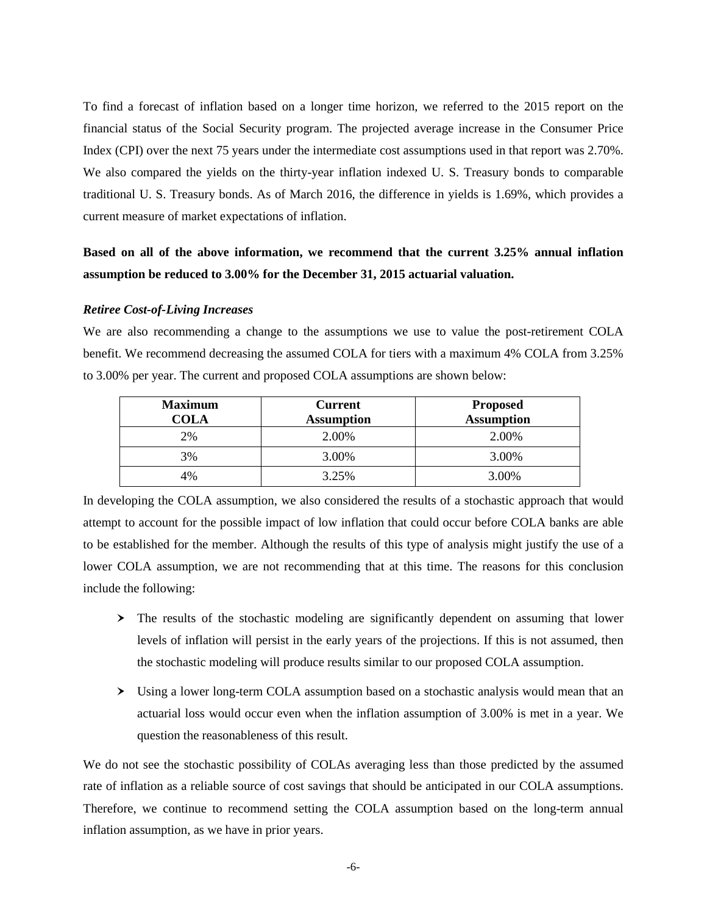To find a forecast of inflation based on a longer time horizon, we referred to the 2015 report on the financial status of the Social Security program. The projected average increase in the Consumer Price Index (CPI) over the next 75 years under the intermediate cost assumptions used in that report was 2.70%. We also compared the yields on the thirty-year inflation indexed U. S. Treasury bonds to comparable traditional U. S. Treasury bonds. As of March 2016, the difference in yields is 1.69%, which provides a current measure of market expectations of inflation.

# **Based on all of the above information, we recommend that the current 3.25% annual inflation assumption be reduced to 3.00% for the December 31, 2015 actuarial valuation.**

#### *Retiree Cost-of-Living Increases*

We are also recommending a change to the assumptions we use to value the post-retirement COLA benefit. We recommend decreasing the assumed COLA for tiers with a maximum 4% COLA from 3.25% to 3.00% per year. The current and proposed COLA assumptions are shown below:

| <b>Maximum</b><br><b>COLA</b> | <b>Current</b><br><b>Assumption</b> | <b>Proposed</b><br><b>Assumption</b> |
|-------------------------------|-------------------------------------|--------------------------------------|
| 2%                            | 2.00%                               | 2.00%                                |
| 3%                            | 3.00%                               | 3.00%                                |
| 4%                            | 3.25%                               | 3.00%                                |

In developing the COLA assumption, we also considered the results of a stochastic approach that would attempt to account for the possible impact of low inflation that could occur before COLA banks are able to be established for the member. Although the results of this type of analysis might justify the use of a lower COLA assumption, we are not recommending that at this time. The reasons for this conclusion include the following:

- $\geq$  The results of the stochastic modeling are significantly dependent on assuming that lower levels of inflation will persist in the early years of the projections. If this is not assumed, then the stochastic modeling will produce results similar to our proposed COLA assumption.
- Using a lower long-term COLA assumption based on a stochastic analysis would mean that an actuarial loss would occur even when the inflation assumption of 3.00% is met in a year. We question the reasonableness of this result.

We do not see the stochastic possibility of COLAs averaging less than those predicted by the assumed rate of inflation as a reliable source of cost savings that should be anticipated in our COLA assumptions. Therefore, we continue to recommend setting the COLA assumption based on the long-term annual inflation assumption, as we have in prior years.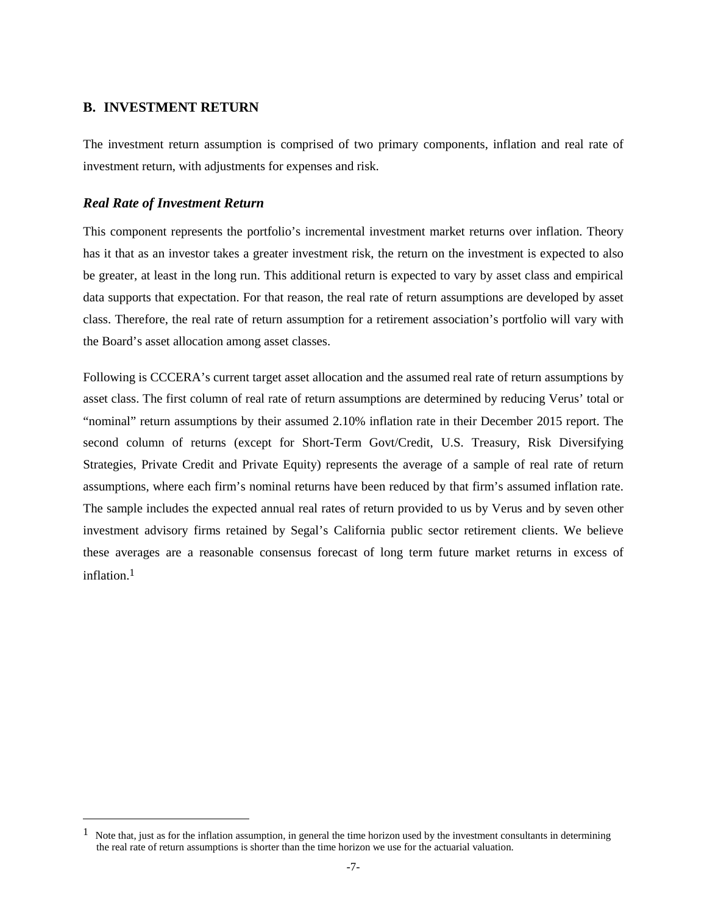## **B. INVESTMENT RETURN**

The investment return assumption is comprised of two primary components, inflation and real rate of investment return, with adjustments for expenses and risk.

### *Real Rate of Investment Return*

This component represents the portfolio's incremental investment market returns over inflation. Theory has it that as an investor takes a greater investment risk, the return on the investment is expected to also be greater, at least in the long run. This additional return is expected to vary by asset class and empirical data supports that expectation. For that reason, the real rate of return assumptions are developed by asset class. Therefore, the real rate of return assumption for a retirement association's portfolio will vary with the Board's asset allocation among asset classes.

Following is CCCERA's current target asset allocation and the assumed real rate of return assumptions by asset class. The first column of real rate of return assumptions are determined by reducing Verus' total or "nominal" return assumptions by their assumed 2.10% inflation rate in their December 2015 report. The second column of returns (except for Short-Term Govt/Credit, U.S. Treasury, Risk Diversifying Strategies, Private Credit and Private Equity) represents the average of a sample of real rate of return assumptions, where each firm's nominal returns have been reduced by that firm's assumed inflation rate. The sample includes the expected annual real rates of return provided to us by Verus and by seven other investment advisory firms retained by Segal's California public sector retirement clients. We believe these averages are a reasonable consensus forecast of long term future market returns in excess of inflation.[1](#page-9-0)

<span id="page-9-0"></span> $1$  Note that, just as for the inflation assumption, in general the time horizon used by the investment consultants in determining the real rate of return assumptions is shorter than the time horizon we use for the actuarial valuation.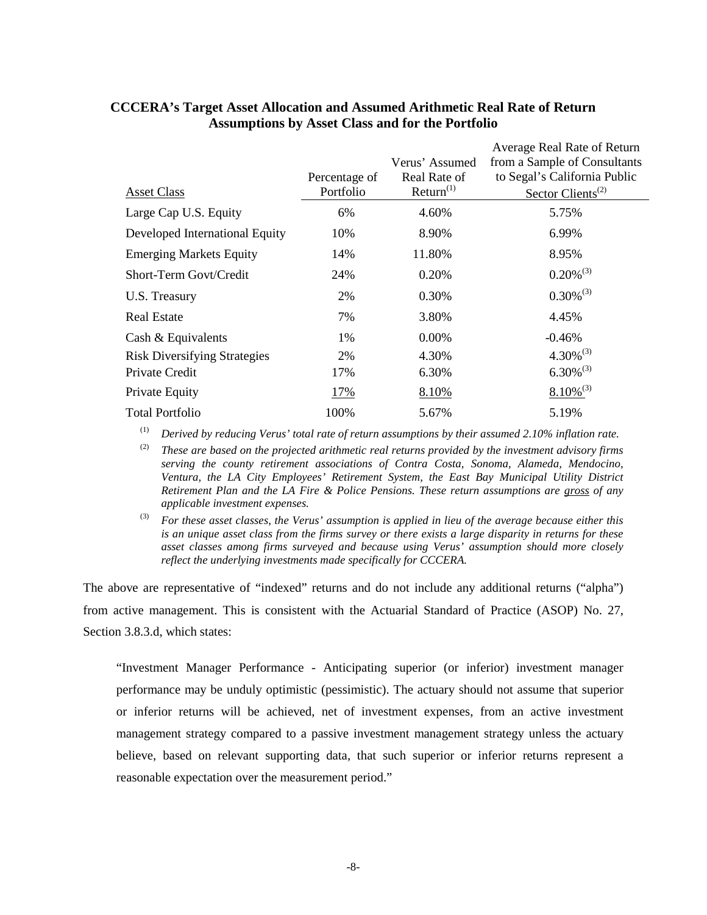|                                     |               |                                | Average Real Rate of Return                                  |
|-------------------------------------|---------------|--------------------------------|--------------------------------------------------------------|
|                                     | Percentage of | Verus' Assumed<br>Real Rate of | from a Sample of Consultants<br>to Segal's California Public |
| <b>Asset Class</b>                  | Portfolio     | Return <sup>(1)</sup>          | Sector Clients <sup>(2)</sup>                                |
| Large Cap U.S. Equity               | 6%            | 4.60%                          | 5.75%                                                        |
| Developed International Equity      | 10%           | 8.90%                          | 6.99%                                                        |
| <b>Emerging Markets Equity</b>      | 14%           | 11.80%                         | 8.95%                                                        |
| Short-Term Govt/Credit              | 24%           | 0.20%                          | $0.20\%^{(3)}$                                               |
| U.S. Treasury                       | 2%            | 0.30%                          | $0.30\%^{(3)}$                                               |
| <b>Real Estate</b>                  | 7%            | 3.80%                          | 4.45%                                                        |
| Cash & Equivalents                  | 1%            | 0.00%                          | $-0.46%$                                                     |
| <b>Risk Diversifying Strategies</b> | 2%            | 4.30%                          | $4.30\%^{(3)}$                                               |
| Private Credit                      | 17%           | 6.30%                          | $6.30\%^{(3)}$                                               |
| Private Equity                      | 17%           | 8.10%                          | $8.10\%^{(3)}$                                               |
| <b>Total Portfolio</b>              | 100%          | 5.67%                          | 5.19%                                                        |

## **CCCERA's Target Asset Allocation and Assumed Arithmetic Real Rate of Return Assumptions by Asset Class and for the Portfolio**

(1) *Derived by reducing Verus' total rate of return assumptions by their assumed 2.10% inflation rate.*

(2) *These are based on the projected arithmetic real returns provided by the investment advisory firms serving the county retirement associations of Contra Costa, Sonoma, Alameda, Mendocino, Ventura, the LA City Employees' Retirement System, the East Bay Municipal Utility District Retirement Plan and the LA Fire & Police Pensions. These return assumptions are gross of any applicable investment expenses.*

(3) *For these asset classes, the Verus' assumption is applied in lieu of the average because either this is an unique asset class from the firms survey or there exists a large disparity in returns for these asset classes among firms surveyed and because using Verus' assumption should more closely reflect the underlying investments made specifically for CCCERA.*

The above are representative of "indexed" returns and do not include any additional returns ("alpha") from active management. This is consistent with the Actuarial Standard of Practice (ASOP) No. 27, Section 3.8.3.d, which states:

"Investment Manager Performance - Anticipating superior (or inferior) investment manager performance may be unduly optimistic (pessimistic). The actuary should not assume that superior or inferior returns will be achieved, net of investment expenses, from an active investment management strategy compared to a passive investment management strategy unless the actuary believe, based on relevant supporting data, that such superior or inferior returns represent a reasonable expectation over the measurement period."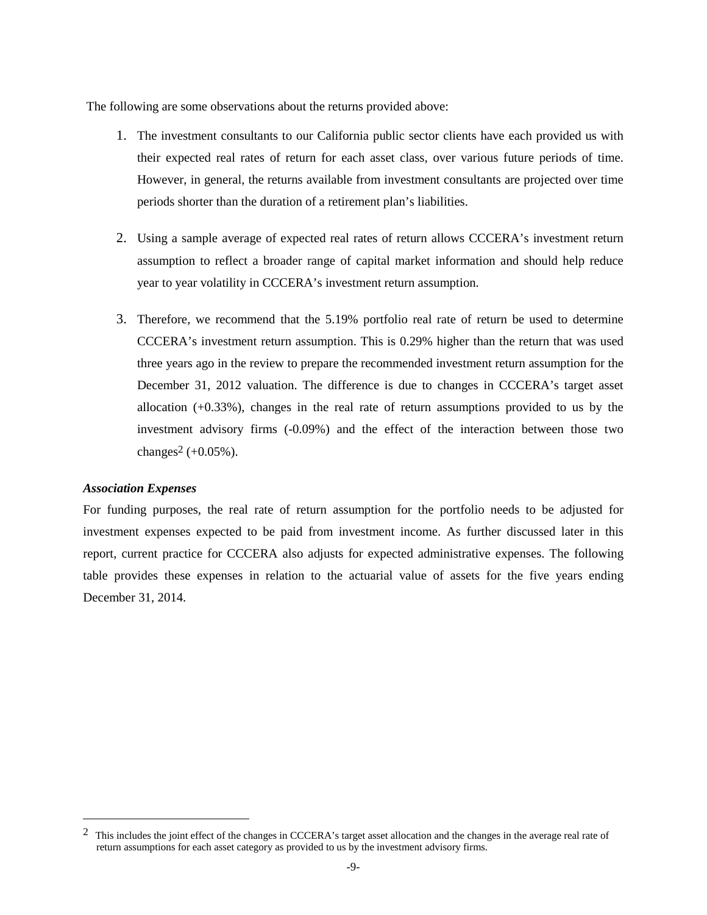The following are some observations about the returns provided above:

- 1. The investment consultants to our California public sector clients have each provided us with their expected real rates of return for each asset class, over various future periods of time. However, in general, the returns available from investment consultants are projected over time periods shorter than the duration of a retirement plan's liabilities.
- 2. Using a sample average of expected real rates of return allows CCCERA's investment return assumption to reflect a broader range of capital market information and should help reduce year to year volatility in CCCERA's investment return assumption.
- 3. Therefore, we recommend that the 5.19% portfolio real rate of return be used to determine CCCERA's investment return assumption. This is 0.29% higher than the return that was used three years ago in the review to prepare the recommended investment return assumption for the December 31, 2012 valuation. The difference is due to changes in CCCERA's target asset allocation (+0.33%), changes in the real rate of return assumptions provided to us by the investment advisory firms (-0.09%) and the effect of the interaction between those two changes<sup>[2](#page-11-0)</sup> (+ $0.05%$ ).

### *Association Expenses*

For funding purposes, the real rate of return assumption for the portfolio needs to be adjusted for investment expenses expected to be paid from investment income. As further discussed later in this report, current practice for CCCERA also adjusts for expected administrative expenses. The following table provides these expenses in relation to the actuarial value of assets for the five years ending December 31, 2014.

<span id="page-11-0"></span><sup>&</sup>lt;sup>2</sup> This includes the joint effect of the changes in CCCERA's target asset allocation and the changes in the average real rate of return assumptions for each asset category as provided to us by the investment advisory firms.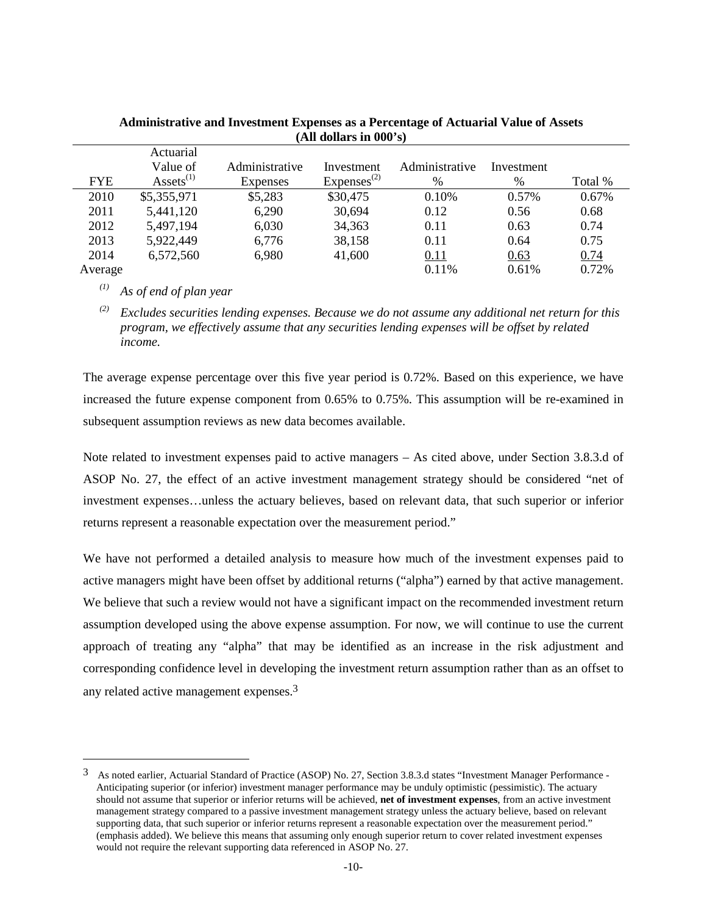|            | Actuarial             |                |                 |                |            |         |
|------------|-----------------------|----------------|-----------------|----------------|------------|---------|
|            | Value of              | Administrative | Investment      | Administrative | Investment |         |
| <b>FYE</b> | $\text{Assets}^{(1)}$ | Expenses       | $Express^{(2)}$ | %              | %          | Total % |
| 2010       | \$5,355,971           | \$5,283        | \$30,475        | 0.10%          | 0.57%      | 0.67%   |
| 2011       | 5,441,120             | 6,290          | 30,694          | 0.12           | 0.56       | 0.68    |
| 2012       | 5,497,194             | 6,030          | 34,363          | 0.11           | 0.63       | 0.74    |
| 2013       | 5,922,449             | 6,776          | 38,158          | 0.11           | 0.64       | 0.75    |
| 2014       | 6,572,560             | 6,980          | 41,600          | 0.11           | 0.63       | 0.74    |
| Average    |                       |                |                 | 0.11%          | 0.61%      | 0.72%   |

## **Administrative and Investment Expenses as a Percentage of Actuarial Value of Assets (All dollars in 000's)**

*(1) As of end of plan year*

*(2) Excludes securities lending expenses. Because we do not assume any additional net return for this program, we effectively assume that any securities lending expenses will be offset by related income.*

The average expense percentage over this five year period is 0.72%. Based on this experience, we have increased the future expense component from 0.65% to 0.75%. This assumption will be re-examined in subsequent assumption reviews as new data becomes available.

Note related to investment expenses paid to active managers – As cited above, under Section 3.8.3.d of ASOP No. 27, the effect of an active investment management strategy should be considered "net of investment expenses…unless the actuary believes, based on relevant data, that such superior or inferior returns represent a reasonable expectation over the measurement period."

We have not performed a detailed analysis to measure how much of the investment expenses paid to active managers might have been offset by additional returns ("alpha") earned by that active management. We believe that such a review would not have a significant impact on the recommended investment return assumption developed using the above expense assumption. For now, we will continue to use the current approach of treating any "alpha" that may be identified as an increase in the risk adjustment and corresponding confidence level in developing the investment return assumption rather than as an offset to any related active management expenses.[3](#page-12-0)

<span id="page-12-0"></span><sup>3</sup> As noted earlier, Actuarial Standard of Practice (ASOP) No. 27, Section 3.8.3.d states "Investment Manager Performance - Anticipating superior (or inferior) investment manager performance may be unduly optimistic (pessimistic). The actuary should not assume that superior or inferior returns will be achieved, **net of investment expenses**, from an active investment management strategy compared to a passive investment management strategy unless the actuary believe, based on relevant supporting data, that such superior or inferior returns represent a reasonable expectation over the measurement period." (emphasis added). We believe this means that assuming only enough superior return to cover related investment expenses would not require the relevant supporting data referenced in ASOP No. 27.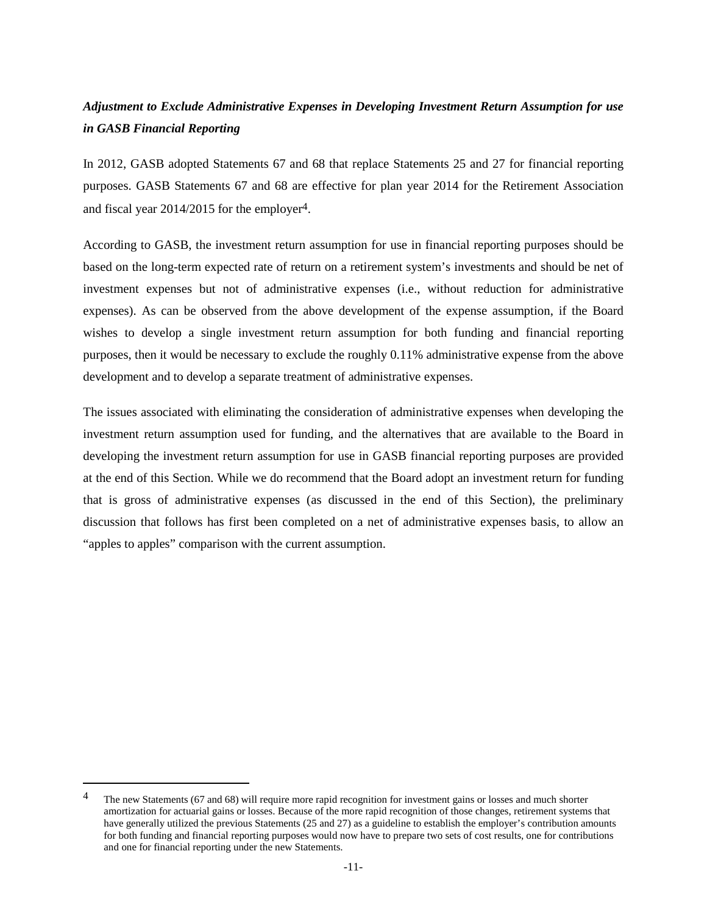# *Adjustment to Exclude Administrative Expenses in Developing Investment Return Assumption for use in GASB Financial Reporting*

In 2012, GASB adopted Statements 67 and 68 that replace Statements 25 and 27 for financial reporting purposes. GASB Statements 67 and 68 are effective for plan year 2014 for the Retirement Association and fiscal year 2014/2015 for the employer[4](#page-13-0)[.](#page-13-0)

According to GASB, the investment return assumption for use in financial reporting purposes should be based on the long-term expected rate of return on a retirement system's investments and should be net of investment expenses but not of administrative expenses (i.e., without reduction for administrative expenses). As can be observed from the above development of the expense assumption, if the Board wishes to develop a single investment return assumption for both funding and financial reporting purposes, then it would be necessary to exclude the roughly 0.11% administrative expense from the above development and to develop a separate treatment of administrative expenses.

The issues associated with eliminating the consideration of administrative expenses when developing the investment return assumption used for funding, and the alternatives that are available to the Board in developing the investment return assumption for use in GASB financial reporting purposes are provided at the end of this Section. While we do recommend that the Board adopt an investment return for funding that is gross of administrative expenses (as discussed in the end of this Section), the preliminary discussion that follows has first been completed on a net of administrative expenses basis, to allow an "apples to apples" comparison with the current assumption.

<span id="page-13-0"></span><sup>&</sup>lt;sup>4</sup> The new Statements (67 and 68) will require more rapid recognition for investment gains or losses and much shorter amortization for actuarial gains or losses. Because of the more rapid recognition of those changes, retirement systems that have generally utilized the previous Statements (25 and 27) as a guideline to establish the employer's contribution amounts for both funding and financial reporting purposes would now have to prepare two sets of cost results, one for contributions and one for financial reporting under the new Statements.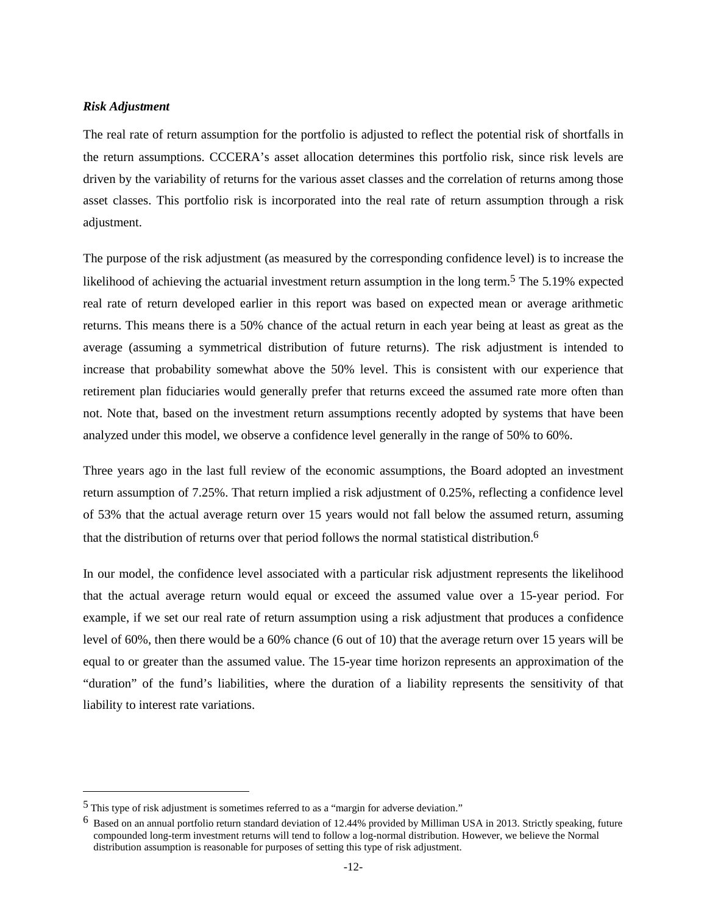#### *Risk Adjustment*

The real rate of return assumption for the portfolio is adjusted to reflect the potential risk of shortfalls in the return assumptions. CCCERA's asset allocation determines this portfolio risk, since risk levels are driven by the variability of returns for the various asset classes and the correlation of returns among those asset classes. This portfolio risk is incorporated into the real rate of return assumption through a risk adjustment.

The purpose of the risk adjustment (as measured by the corresponding confidence level) is to increase the likelihoodof achieving the actuarial investment return assumption in the long term.<sup>5</sup> The 5.19% expected real rate of return developed earlier in this report was based on expected mean or average arithmetic returns. This means there is a 50% chance of the actual return in each year being at least as great as the average (assuming a symmetrical distribution of future returns). The risk adjustment is intended to increase that probability somewhat above the 50% level. This is consistent with our experience that retirement plan fiduciaries would generally prefer that returns exceed the assumed rate more often than not. Note that, based on the investment return assumptions recently adopted by systems that have been analyzed under this model, we observe a confidence level generally in the range of 50% to 60%.

Three years ago in the last full review of the economic assumptions, the Board adopted an investment return assumption of 7.25%. That return implied a risk adjustment of 0.25%, reflecting a confidence level of 53% that the actual average return over 15 years would not fall below the assumed return, assuming that the distribution of returns over that period follows the normal statistical distribution.[6](#page-14-1)

In our model, the confidence level associated with a particular risk adjustment represents the likelihood that the actual average return would equal or exceed the assumed value over a 15-year period. For example, if we set our real rate of return assumption using a risk adjustment that produces a confidence level of 60%, then there would be a 60% chance (6 out of 10) that the average return over 15 years will be equal to or greater than the assumed value. The 15-year time horizon represents an approximation of the "duration" of the fund's liabilities, where the duration of a liability represents the sensitivity of that liability to interest rate variations.

<span id="page-14-1"></span><span id="page-14-0"></span><sup>5</sup> This type of risk adjustment is sometimes referred to as a "margin for adverse deviation."

 $6$  Based on an annual portfolio return standard deviation of 12.44% provided by Milliman USA in 2013. Strictly speaking, future compounded long-term investment returns will tend to follow a log-normal distribution. However, we believe the Normal distribution assumption is reasonable for purposes of setting this type of risk adjustment.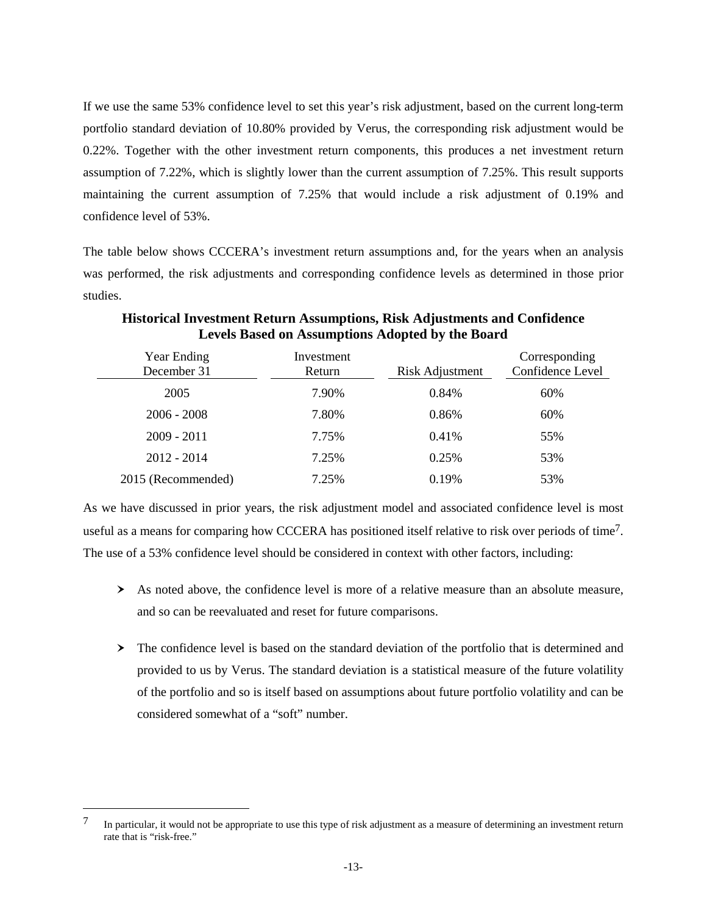If we use the same 53% confidence level to set this year's risk adjustment, based on the current long-term portfolio standard deviation of 10.80% provided by Verus, the corresponding risk adjustment would be 0.22%. Together with the other investment return components, this produces a net investment return assumption of 7.22%, which is slightly lower than the current assumption of 7.25%. This result supports maintaining the current assumption of 7.25% that would include a risk adjustment of 0.19% and confidence level of 53%.

The table below shows CCCERA's investment return assumptions and, for the years when an analysis was performed, the risk adjustments and corresponding confidence levels as determined in those prior studies.

| Year Ending<br>December 31 | Investment<br>Return | Risk Adjustment | Corresponding<br>Confidence Level |
|----------------------------|----------------------|-----------------|-----------------------------------|
| 2005                       | 7.90%                | 0.84%           | 60%                               |
| $2006 - 2008$              | 7.80%                | 0.86%           | 60%                               |
| $2009 - 2011$              | 7.75%                | 0.41%           | 55%                               |
| $2012 - 2014$              | 7.25%                | 0.25%           | 53%                               |
| 2015 (Recommended)         | 7.25%                | 0.19%           | 53%                               |

**Historical Investment Return Assumptions, Risk Adjustments and Confidence Levels Based on Assumptions Adopted by the Board**

As we have discussed in prior years, the risk adjustment model and associated confidence level is most usefulas a means for comparing how CCCERA has positioned itself relative to risk over periods of time<sup>[7](#page-15-0)</sup>. The use of a 53% confidence level should be considered in context with other factors, including:

- As noted above, the confidence level is more of a relative measure than an absolute measure, and so can be reevaluated and reset for future comparisons.
- > The confidence level is based on the standard deviation of the portfolio that is determined and provided to us by Verus. The standard deviation is a statistical measure of the future volatility of the portfolio and so is itself based on assumptions about future portfolio volatility and can be considered somewhat of a "soft" number.

<span id="page-15-0"></span><sup>&</sup>lt;sup>7</sup> In particular, it would not be appropriate to use this type of risk adjustment as a measure of determining an investment return rate that is "risk-free."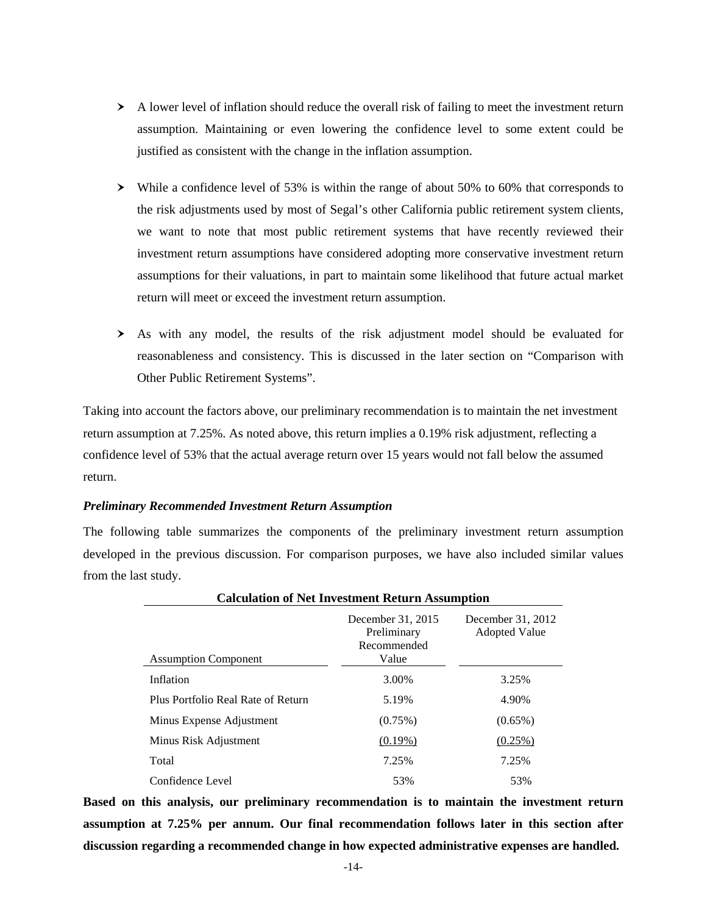- A lower level of inflation should reduce the overall risk of failing to meet the investment return assumption. Maintaining or even lowering the confidence level to some extent could be justified as consistent with the change in the inflation assumption.
- While a confidence level of 53% is within the range of about 50% to 60% that corresponds to the risk adjustments used by most of Segal's other California public retirement system clients, we want to note that most public retirement systems that have recently reviewed their investment return assumptions have considered adopting more conservative investment return assumptions for their valuations, in part to maintain some likelihood that future actual market return will meet or exceed the investment return assumption.
- As with any model, the results of the risk adjustment model should be evaluated for reasonableness and consistency. This is discussed in the later section on "Comparison with Other Public Retirement Systems".

Taking into account the factors above, our preliminary recommendation is to maintain the net investment return assumption at 7.25%. As noted above, this return implies a 0.19% risk adjustment, reflecting a confidence level of 53% that the actual average return over 15 years would not fall below the assumed return.

### *Preliminary Recommended Investment Return Assumption*

The following table summarizes the components of the preliminary investment return assumption developed in the previous discussion. For comparison purposes, we have also included similar values from the last study.

| еаканноп от туст ниусванент кетапн творанноп |                                                          |                                           |  |  |
|----------------------------------------------|----------------------------------------------------------|-------------------------------------------|--|--|
| <b>Assumption Component</b>                  | December 31, 2015<br>Preliminary<br>Recommended<br>Value | December 31, 2012<br><b>Adopted Value</b> |  |  |
| Inflation                                    | 3.00%                                                    | 3.25%                                     |  |  |
| Plus Portfolio Real Rate of Return           | 5.19%                                                    | 4.90%                                     |  |  |
| Minus Expense Adjustment                     | $(0.75\%)$                                               | $(0.65\%)$                                |  |  |
| Minus Risk Adjustment                        | $(0.19\%)$                                               | (0.25%)                                   |  |  |
| Total                                        | 7.25%                                                    | 7.25%                                     |  |  |
| Confidence Level                             | 53%                                                      | 53%                                       |  |  |

## **Calculation of Net Investment Return Assumption**

**Based on this analysis, our preliminary recommendation is to maintain the investment return assumption at 7.25% per annum. Our final recommendation follows later in this section after discussion regarding a recommended change in how expected administrative expenses are handled.**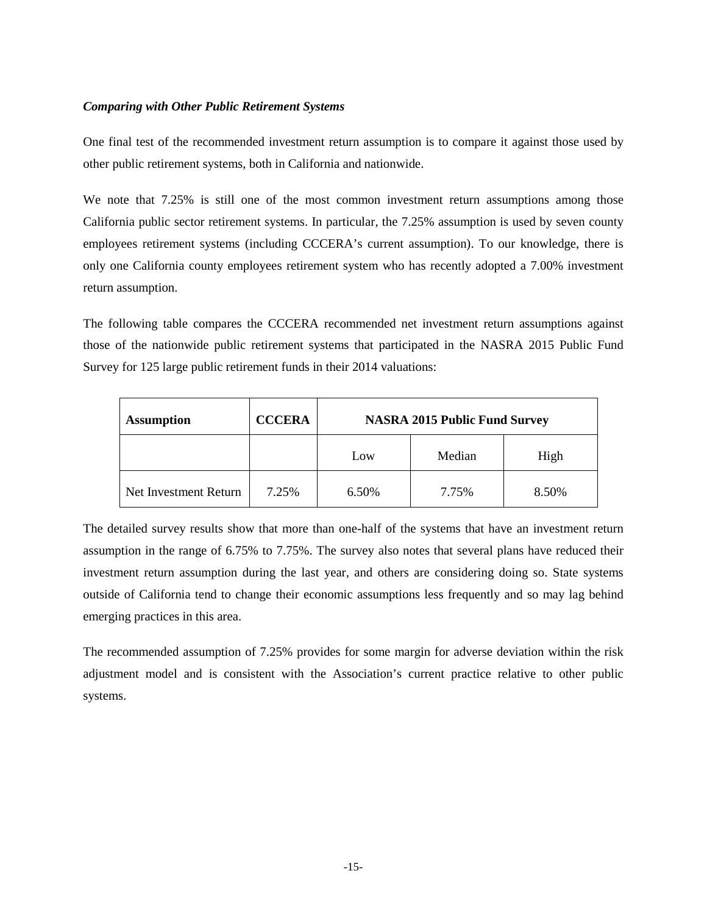### *Comparing with Other Public Retirement Systems*

One final test of the recommended investment return assumption is to compare it against those used by other public retirement systems, both in California and nationwide.

We note that 7.25% is still one of the most common investment return assumptions among those California public sector retirement systems. In particular, the 7.25% assumption is used by seven county employees retirement systems (including CCCERA's current assumption). To our knowledge, there is only one California county employees retirement system who has recently adopted a 7.00% investment return assumption.

The following table compares the CCCERA recommended net investment return assumptions against those of the nationwide public retirement systems that participated in the NASRA 2015 Public Fund Survey for 125 large public retirement funds in their 2014 valuations:

| <b>Assumption</b>     | <b>CCCERA</b> | <b>NASRA 2015 Public Fund Survey</b> |        |       |  |
|-----------------------|---------------|--------------------------------------|--------|-------|--|
|                       |               | Low                                  | Median | High  |  |
| Net Investment Return | 7.25%         | 6.50%                                | 7.75%  | 8.50% |  |

The detailed survey results show that more than one-half of the systems that have an investment return assumption in the range of 6.75% to 7.75%. The survey also notes that several plans have reduced their investment return assumption during the last year, and others are considering doing so. State systems outside of California tend to change their economic assumptions less frequently and so may lag behind emerging practices in this area.

The recommended assumption of 7.25% provides for some margin for adverse deviation within the risk adjustment model and is consistent with the Association's current practice relative to other public systems.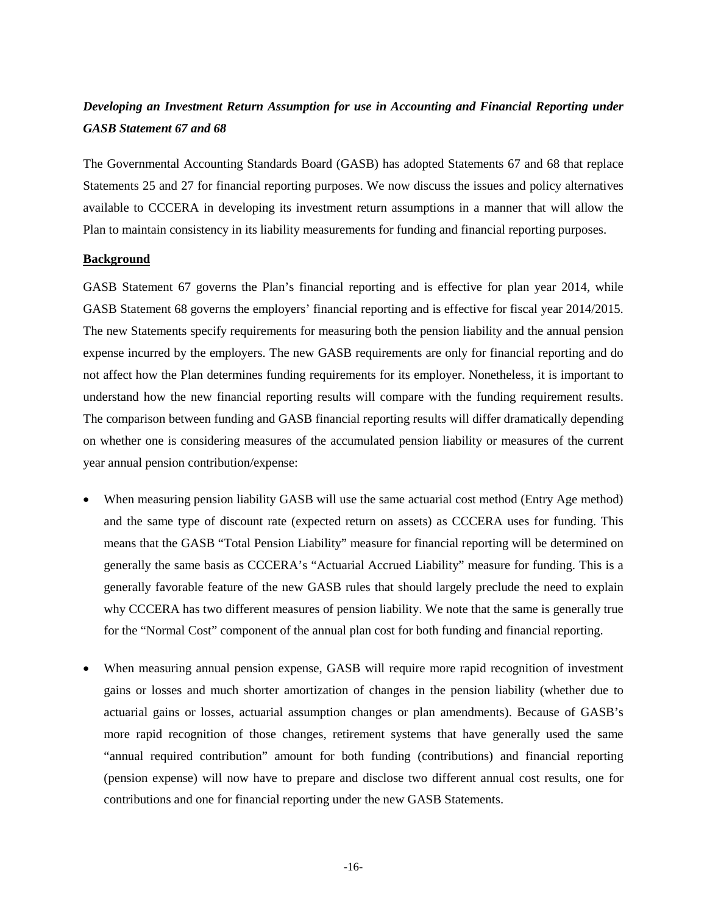# *Developing an Investment Return Assumption for use in Accounting and Financial Reporting under GASB Statement 67 and 68*

The Governmental Accounting Standards Board (GASB) has adopted Statements 67 and 68 that replace Statements 25 and 27 for financial reporting purposes. We now discuss the issues and policy alternatives available to CCCERA in developing its investment return assumptions in a manner that will allow the Plan to maintain consistency in its liability measurements for funding and financial reporting purposes.

### **Background**

GASB Statement 67 governs the Plan's financial reporting and is effective for plan year 2014, while GASB Statement 68 governs the employers' financial reporting and is effective for fiscal year 2014/2015. The new Statements specify requirements for measuring both the pension liability and the annual pension expense incurred by the employers. The new GASB requirements are only for financial reporting and do not affect how the Plan determines funding requirements for its employer. Nonetheless, it is important to understand how the new financial reporting results will compare with the funding requirement results. The comparison between funding and GASB financial reporting results will differ dramatically depending on whether one is considering measures of the accumulated pension liability or measures of the current year annual pension contribution/expense:

- When measuring pension liability GASB will use the same actuarial cost method (Entry Age method) and the same type of discount rate (expected return on assets) as CCCERA uses for funding. This means that the GASB "Total Pension Liability" measure for financial reporting will be determined on generally the same basis as CCCERA's "Actuarial Accrued Liability" measure for funding. This is a generally favorable feature of the new GASB rules that should largely preclude the need to explain why CCCERA has two different measures of pension liability. We note that the same is generally true for the "Normal Cost" component of the annual plan cost for both funding and financial reporting.
- When measuring annual pension expense, GASB will require more rapid recognition of investment gains or losses and much shorter amortization of changes in the pension liability (whether due to actuarial gains or losses, actuarial assumption changes or plan amendments). Because of GASB's more rapid recognition of those changes, retirement systems that have generally used the same "annual required contribution" amount for both funding (contributions) and financial reporting (pension expense) will now have to prepare and disclose two different annual cost results, one for contributions and one for financial reporting under the new GASB Statements.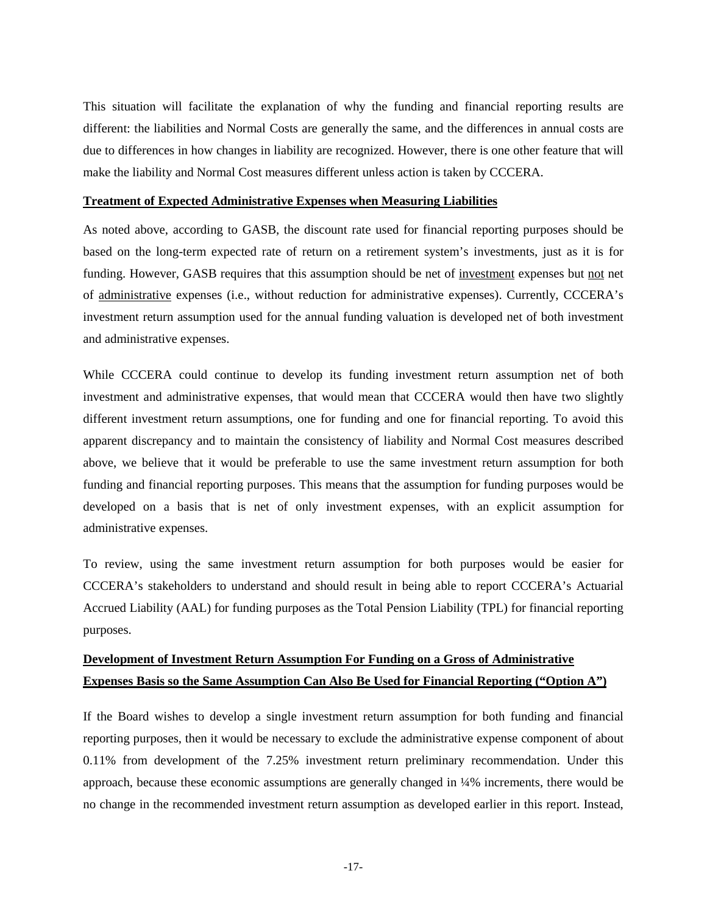This situation will facilitate the explanation of why the funding and financial reporting results are different: the liabilities and Normal Costs are generally the same, and the differences in annual costs are due to differences in how changes in liability are recognized. However, there is one other feature that will make the liability and Normal Cost measures different unless action is taken by CCCERA.

#### **Treatment of Expected Administrative Expenses when Measuring Liabilities**

As noted above, according to GASB, the discount rate used for financial reporting purposes should be based on the long-term expected rate of return on a retirement system's investments, just as it is for funding. However, GASB requires that this assumption should be net of investment expenses but not net of administrative expenses (i.e., without reduction for administrative expenses). Currently, CCCERA's investment return assumption used for the annual funding valuation is developed net of both investment and administrative expenses.

While CCCERA could continue to develop its funding investment return assumption net of both investment and administrative expenses, that would mean that CCCERA would then have two slightly different investment return assumptions, one for funding and one for financial reporting. To avoid this apparent discrepancy and to maintain the consistency of liability and Normal Cost measures described above, we believe that it would be preferable to use the same investment return assumption for both funding and financial reporting purposes. This means that the assumption for funding purposes would be developed on a basis that is net of only investment expenses, with an explicit assumption for administrative expenses.

To review, using the same investment return assumption for both purposes would be easier for CCCERA's stakeholders to understand and should result in being able to report CCCERA's Actuarial Accrued Liability (AAL) for funding purposes as the Total Pension Liability (TPL) for financial reporting purposes.

# **Development of Investment Return Assumption For Funding on a Gross of Administrative Expenses Basis so the Same Assumption Can Also Be Used for Financial Reporting ("Option A")**

If the Board wishes to develop a single investment return assumption for both funding and financial reporting purposes, then it would be necessary to exclude the administrative expense component of about 0.11% from development of the 7.25% investment return preliminary recommendation. Under this approach, because these economic assumptions are generally changed in ¼% increments, there would be no change in the recommended investment return assumption as developed earlier in this report. Instead,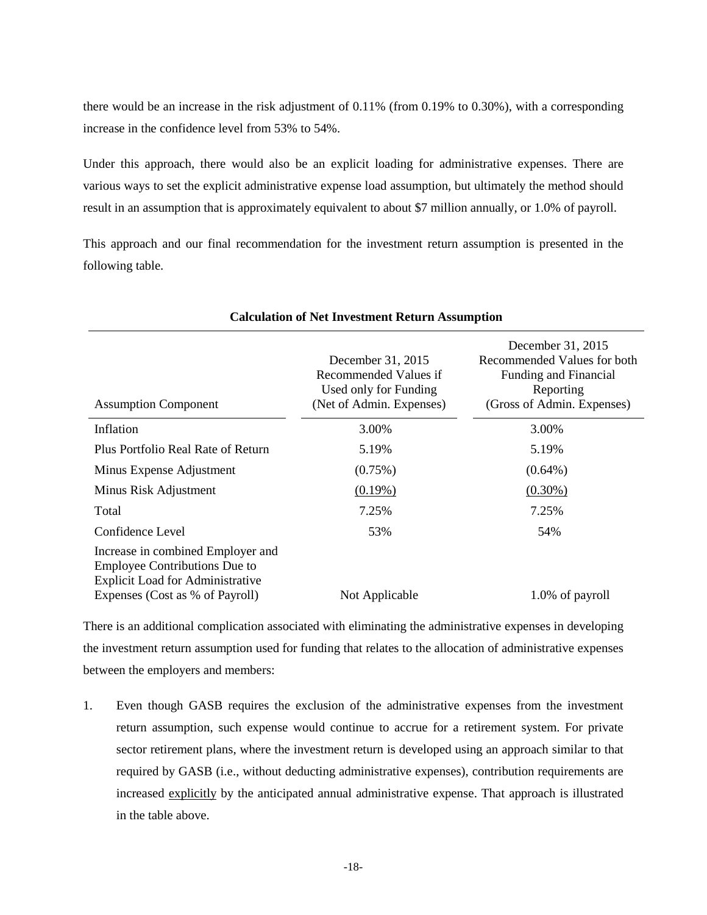there would be an increase in the risk adjustment of 0.11% (from 0.19% to 0.30%), with a corresponding increase in the confidence level from 53% to 54%.

Under this approach, there would also be an explicit loading for administrative expenses. There are various ways to set the explicit administrative expense load assumption, but ultimately the method should result in an assumption that is approximately equivalent to about \$7 million annually, or 1.0% of payroll.

This approach and our final recommendation for the investment return assumption is presented in the following table.

| December 31, 2015<br>Recommended Values if<br>Used only for Funding<br>(Net of Admin. Expenses) | December 31, 2015<br>Recommended Values for both<br>Funding and Financial<br>Reporting<br>(Gross of Admin. Expenses) |
|-------------------------------------------------------------------------------------------------|----------------------------------------------------------------------------------------------------------------------|
| 3.00%                                                                                           | 3.00%                                                                                                                |
| 5.19%                                                                                           | 5.19%                                                                                                                |
| $(0.75\%)$                                                                                      | $(0.64\%)$                                                                                                           |
| $(0.19\%)$                                                                                      | $(0.30\%)$                                                                                                           |
| 7.25%                                                                                           | 7.25%                                                                                                                |
| 53%                                                                                             | 54%                                                                                                                  |
|                                                                                                 | 1.0% of payroll                                                                                                      |
|                                                                                                 | Not Applicable                                                                                                       |

**Calculation of Net Investment Return Assumption**

There is an additional complication associated with eliminating the administrative expenses in developing the investment return assumption used for funding that relates to the allocation of administrative expenses between the employers and members:

1. Even though GASB requires the exclusion of the administrative expenses from the investment return assumption, such expense would continue to accrue for a retirement system. For private sector retirement plans, where the investment return is developed using an approach similar to that required by GASB (i.e., without deducting administrative expenses), contribution requirements are increased explicitly by the anticipated annual administrative expense. That approach is illustrated in the table above.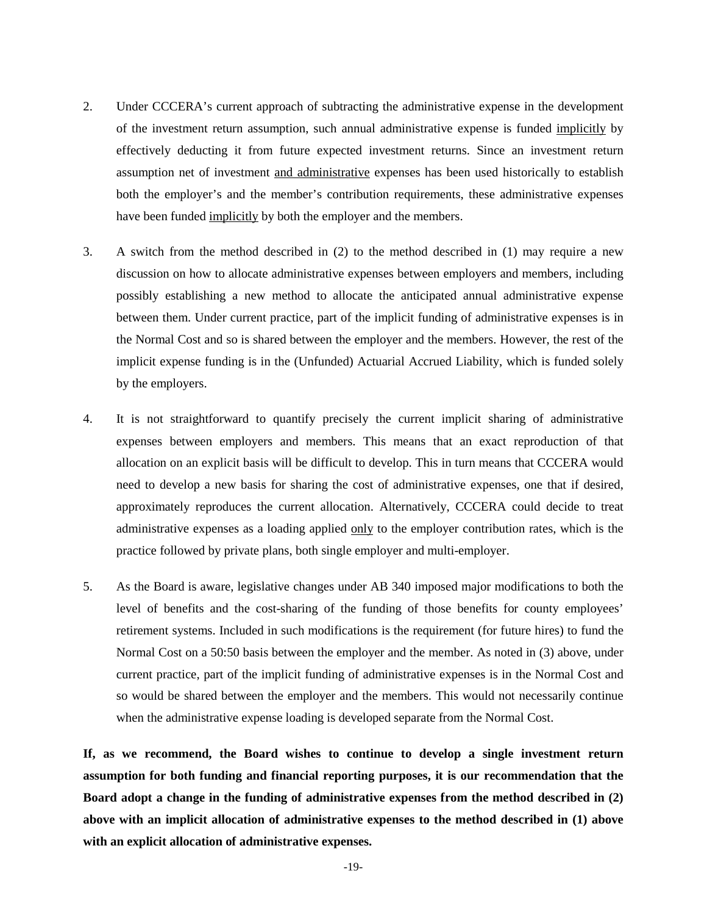- 2. Under CCCERA's current approach of subtracting the administrative expense in the development of the investment return assumption, such annual administrative expense is funded implicitly by effectively deducting it from future expected investment returns. Since an investment return assumption net of investment and administrative expenses has been used historically to establish both the employer's and the member's contribution requirements, these administrative expenses have been funded implicitly by both the employer and the members.
- 3. A switch from the method described in (2) to the method described in (1) may require a new discussion on how to allocate administrative expenses between employers and members, including possibly establishing a new method to allocate the anticipated annual administrative expense between them. Under current practice, part of the implicit funding of administrative expenses is in the Normal Cost and so is shared between the employer and the members. However, the rest of the implicit expense funding is in the (Unfunded) Actuarial Accrued Liability, which is funded solely by the employers.
- 4. It is not straightforward to quantify precisely the current implicit sharing of administrative expenses between employers and members. This means that an exact reproduction of that allocation on an explicit basis will be difficult to develop. This in turn means that CCCERA would need to develop a new basis for sharing the cost of administrative expenses, one that if desired, approximately reproduces the current allocation. Alternatively, CCCERA could decide to treat administrative expenses as a loading applied only to the employer contribution rates, which is the practice followed by private plans, both single employer and multi-employer.
- 5. As the Board is aware, legislative changes under AB 340 imposed major modifications to both the level of benefits and the cost-sharing of the funding of those benefits for county employees' retirement systems. Included in such modifications is the requirement (for future hires) to fund the Normal Cost on a 50:50 basis between the employer and the member. As noted in (3) above, under current practice, part of the implicit funding of administrative expenses is in the Normal Cost and so would be shared between the employer and the members. This would not necessarily continue when the administrative expense loading is developed separate from the Normal Cost.

**If, as we recommend, the Board wishes to continue to develop a single investment return assumption for both funding and financial reporting purposes, it is our recommendation that the Board adopt a change in the funding of administrative expenses from the method described in (2) above with an implicit allocation of administrative expenses to the method described in (1) above with an explicit allocation of administrative expenses.**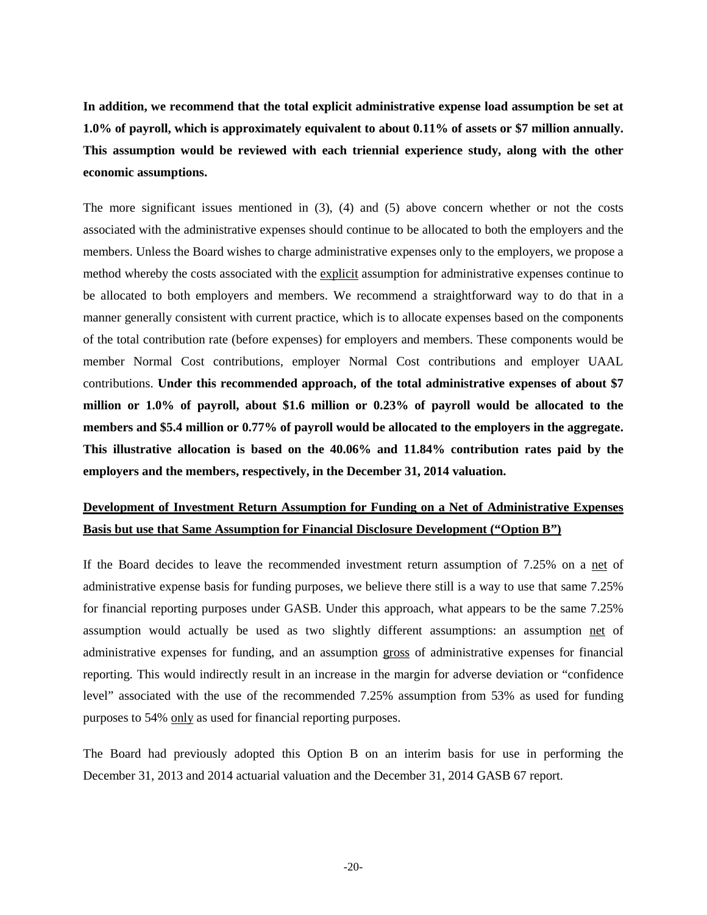**In addition, we recommend that the total explicit administrative expense load assumption be set at 1.0% of payroll, which is approximately equivalent to about 0.11% of assets or \$7 million annually. This assumption would be reviewed with each triennial experience study, along with the other economic assumptions.**

The more significant issues mentioned in (3), (4) and (5) above concern whether or not the costs associated with the administrative expenses should continue to be allocated to both the employers and the members. Unless the Board wishes to charge administrative expenses only to the employers, we propose a method whereby the costs associated with the explicit assumption for administrative expenses continue to be allocated to both employers and members. We recommend a straightforward way to do that in a manner generally consistent with current practice, which is to allocate expenses based on the components of the total contribution rate (before expenses) for employers and members. These components would be member Normal Cost contributions, employer Normal Cost contributions and employer UAAL contributions. **Under this recommended approach, of the total administrative expenses of about \$7 million or 1.0% of payroll, about \$1.6 million or 0.23% of payroll would be allocated to the members and \$5.4 million or 0.77% of payroll would be allocated to the employers in the aggregate. This illustrative allocation is based on the 40.06% and 11.84% contribution rates paid by the employers and the members, respectively, in the December 31, 2014 valuation.**

# **Development of Investment Return Assumption for Funding on a Net of Administrative Expenses Basis but use that Same Assumption for Financial Disclosure Development ("Option B")**

If the Board decides to leave the recommended investment return assumption of 7.25% on a net of administrative expense basis for funding purposes, we believe there still is a way to use that same 7.25% for financial reporting purposes under GASB. Under this approach, what appears to be the same 7.25% assumption would actually be used as two slightly different assumptions: an assumption net of administrative expenses for funding, and an assumption gross of administrative expenses for financial reporting. This would indirectly result in an increase in the margin for adverse deviation or "confidence level" associated with the use of the recommended 7.25% assumption from 53% as used for funding purposes to 54% only as used for financial reporting purposes.

The Board had previously adopted this Option B on an interim basis for use in performing the December 31, 2013 and 2014 actuarial valuation and the December 31, 2014 GASB 67 report.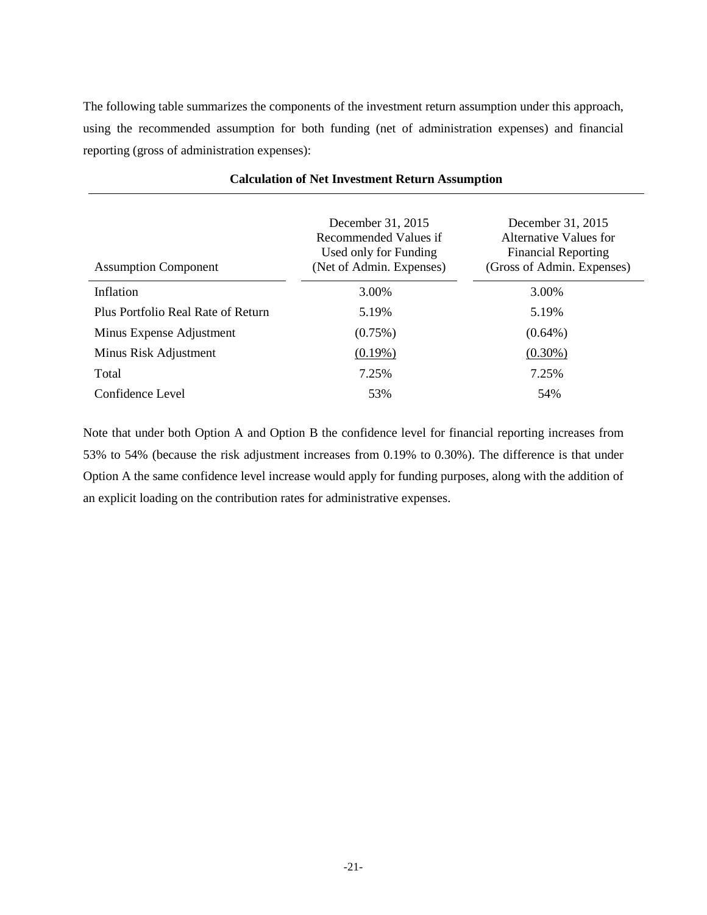The following table summarizes the components of the investment return assumption under this approach, using the recommended assumption for both funding (net of administration expenses) and financial reporting (gross of administration expenses):

|                                    | December 31, 2015<br>Recommended Values if        | December 31, 2015<br>Alternative Values for              |
|------------------------------------|---------------------------------------------------|----------------------------------------------------------|
| <b>Assumption Component</b>        | Used only for Funding<br>(Net of Admin. Expenses) | <b>Financial Reporting</b><br>(Gross of Admin. Expenses) |
| Inflation                          | 3.00%                                             | 3.00%                                                    |
| Plus Portfolio Real Rate of Return | 5.19%                                             | 5.19%                                                    |
| Minus Expense Adjustment           | $(0.75\%)$                                        | $(0.64\%)$                                               |
| Minus Risk Adjustment              | $(0.19\%)$                                        | $(0.30\%)$                                               |
| Total                              | 7.25%                                             | 7.25%                                                    |
| Confidence Level                   | 53%                                               | 54%                                                      |

### **Calculation of Net Investment Return Assumption**

Note that under both Option A and Option B the confidence level for financial reporting increases from 53% to 54% (because the risk adjustment increases from 0.19% to 0.30%). The difference is that under Option A the same confidence level increase would apply for funding purposes, along with the addition of an explicit loading on the contribution rates for administrative expenses.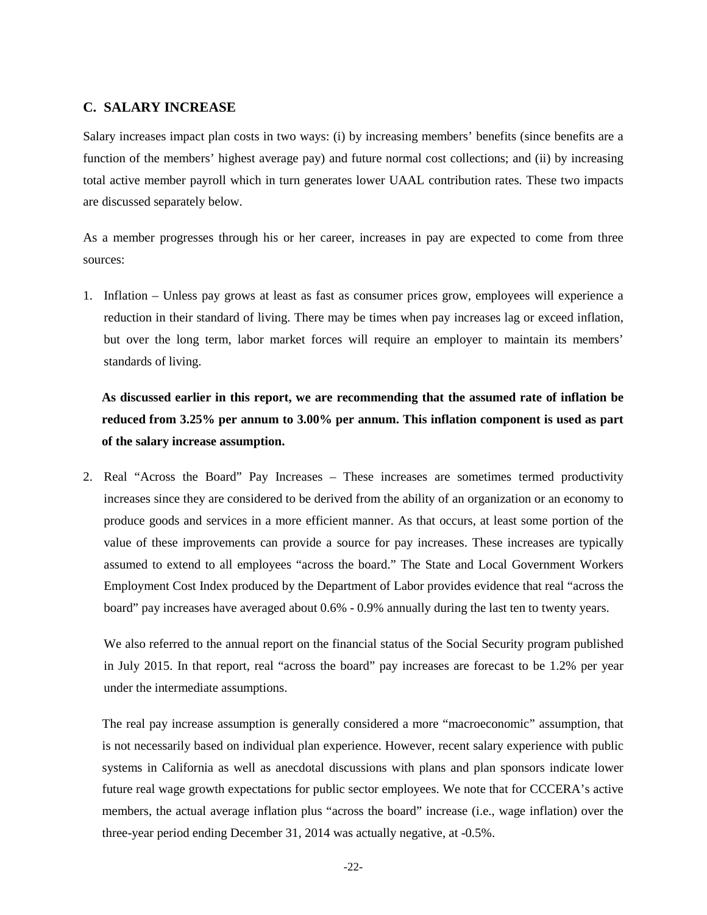## **C. SALARY INCREASE**

Salary increases impact plan costs in two ways: (i) by increasing members' benefits (since benefits are a function of the members' highest average pay) and future normal cost collections; and (ii) by increasing total active member payroll which in turn generates lower UAAL contribution rates. These two impacts are discussed separately below.

As a member progresses through his or her career, increases in pay are expected to come from three sources:

1. Inflation – Unless pay grows at least as fast as consumer prices grow, employees will experience a reduction in their standard of living. There may be times when pay increases lag or exceed inflation, but over the long term, labor market forces will require an employer to maintain its members' standards of living.

**As discussed earlier in this report, we are recommending that the assumed rate of inflation be reduced from 3.25% per annum to 3.00% per annum. This inflation component is used as part of the salary increase assumption.**

2. Real "Across the Board" Pay Increases – These increases are sometimes termed productivity increases since they are considered to be derived from the ability of an organization or an economy to produce goods and services in a more efficient manner. As that occurs, at least some portion of the value of these improvements can provide a source for pay increases. These increases are typically assumed to extend to all employees "across the board." The State and Local Government Workers Employment Cost Index produced by the Department of Labor provides evidence that real "across the board" pay increases have averaged about 0.6% - 0.9% annually during the last ten to twenty years.

We also referred to the annual report on the financial status of the Social Security program published in July 2015. In that report, real "across the board" pay increases are forecast to be 1.2% per year under the intermediate assumptions.

The real pay increase assumption is generally considered a more "macroeconomic" assumption, that is not necessarily based on individual plan experience. However, recent salary experience with public systems in California as well as anecdotal discussions with plans and plan sponsors indicate lower future real wage growth expectations for public sector employees. We note that for CCCERA's active members, the actual average inflation plus "across the board" increase (i.e., wage inflation) over the three-year period ending December 31, 2014 was actually negative, at -0.5%.